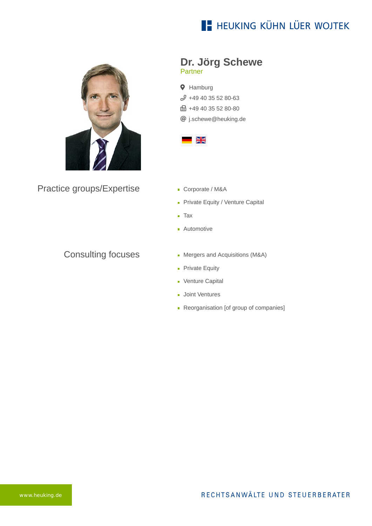# **E- HEUKING KÜHN LÜER WOJTEK**



Practice groups/Expertise

#### Consulting focuses

- **Dr. Jörg Schewe** Partner
- **9** Hamburg  $$49\,40\,35\,52\,80-63$$ **fm** +49 40 35 52 80-80 @ [j.schewe@heuking.de](mailto:j.schewe@heuking.de?subject=Contact%20via%20website%20heuking.de)



- Corporate / M&A
- **Private Equity / Venture Capital**
- Tax
- **Automotive**
- **Mergers and Acquisitions (M&A)**
- **Private Equity**
- **Venture Capital**
- **Joint Ventures**
- Reorganisation [of group of companies]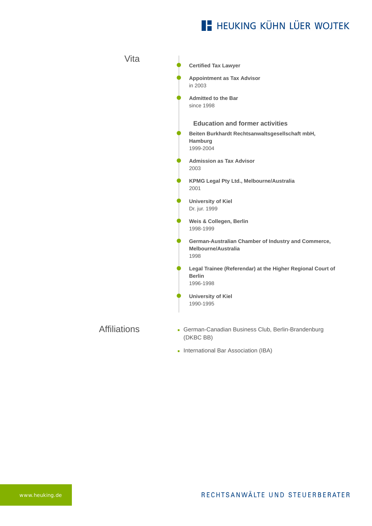## **E- HEUKING KÜHN LÜER WOJTEK**

Vita Affiliations **Certified Tax Lawyer Appointment as Tax Advisor** in 2003 **Admitted to the Bar** since 1998 **Education and former activities Beiten Burkhardt Rechtsanwaltsgesellschaft mbH, Hamburg** 1999-2004 **Admission as Tax Advisor** 2003 **KPMG Legal Pty Ltd., Melbourne/Australia** 2001 **University of Kiel** Dr. jur. 1999 **Weis & Collegen, Berlin** 1998-1999 **German-Australian Chamber of Industry and Commerce, Melbourne/Australia** 1998 **Legal Trainee (Referendar) at the Higher Regional Court of Berlin** 1996-1998 **University of Kiel** 1990-1995 German-Canadian Business Club, Berlin-Brandenburg (DKBC BB) **International Bar Association (IBA)**